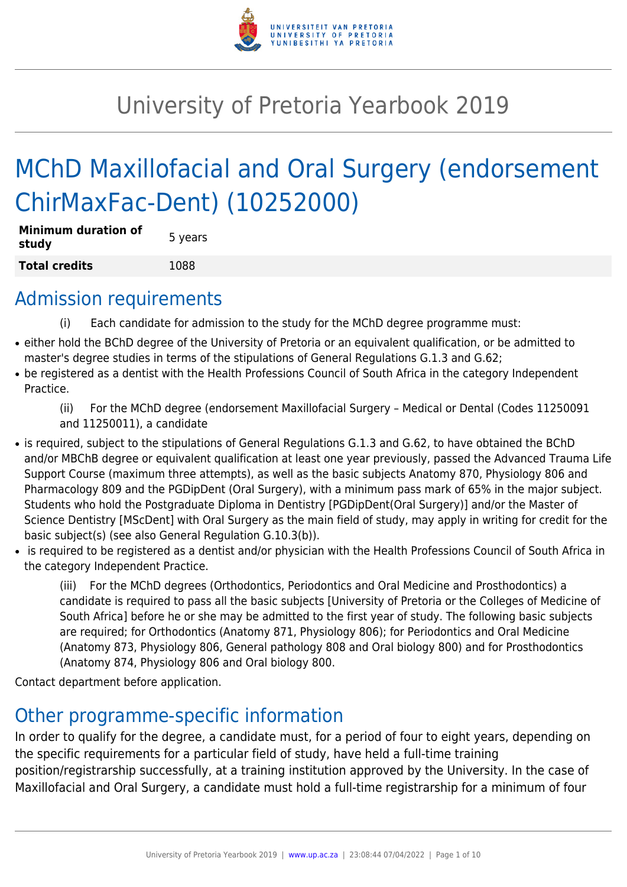

# University of Pretoria Yearbook 2019

# MChD Maxillofacial and Oral Surgery (endorsement ChirMaxFac-Dent) (10252000)

| <b>Minimum duration of</b><br>study | 5 years |
|-------------------------------------|---------|
| <b>Total credits</b>                | 1088    |

### Admission requirements

- (i) Each candidate for admission to the study for the MChD degree programme must:
- either hold the BChD degree of the University of Pretoria or an equivalent qualification, or be admitted to master's degree studies in terms of the stipulations of General Regulations G.1.3 and G.62;
- be registered as a dentist with the Health Professions Council of South Africa in the category Independent Practice.

(ii) For the MChD degree (endorsement Maxillofacial Surgery – Medical or Dental (Codes 11250091 and 11250011), a candidate

- is required, subject to the stipulations of General Regulations G.1.3 and G.62, to have obtained the BChD and/or MBChB degree or equivalent qualification at least one year previously, passed the Advanced Trauma Life Support Course (maximum three attempts), as well as the basic subjects Anatomy 870, Physiology 806 and Pharmacology 809 and the PGDipDent (Oral Surgery), with a minimum pass mark of 65% in the major subject. Students who hold the Postgraduate Diploma in Dentistry [PGDipDent(Oral Surgery)] and/or the Master of Science Dentistry [MScDent] with Oral Surgery as the main field of study, may apply in writing for credit for the basic subject(s) (see also General Regulation G.10.3(b)).
- is required to be registered as a dentist and/or physician with the Health Professions Council of South Africa in the category Independent Practice.

(iii) For the MChD degrees (Orthodontics, Periodontics and Oral Medicine and Prosthodontics) a candidate is required to pass all the basic subjects [University of Pretoria or the Colleges of Medicine of South Africa] before he or she may be admitted to the first year of study. The following basic subjects are required; for Orthodontics (Anatomy 871, Physiology 806); for Periodontics and Oral Medicine (Anatomy 873, Physiology 806, General pathology 808 and Oral biology 800) and for Prosthodontics (Anatomy 874, Physiology 806 and Oral biology 800.

Contact department before application.

## Other programme-specific information

In order to qualify for the degree, a candidate must, for a period of four to eight years, depending on the specific requirements for a particular field of study, have held a full-time training

position/registrarship successfully, at a training institution approved by the University. In the case of Maxillofacial and Oral Surgery, a candidate must hold a full-time registrarship for a minimum of four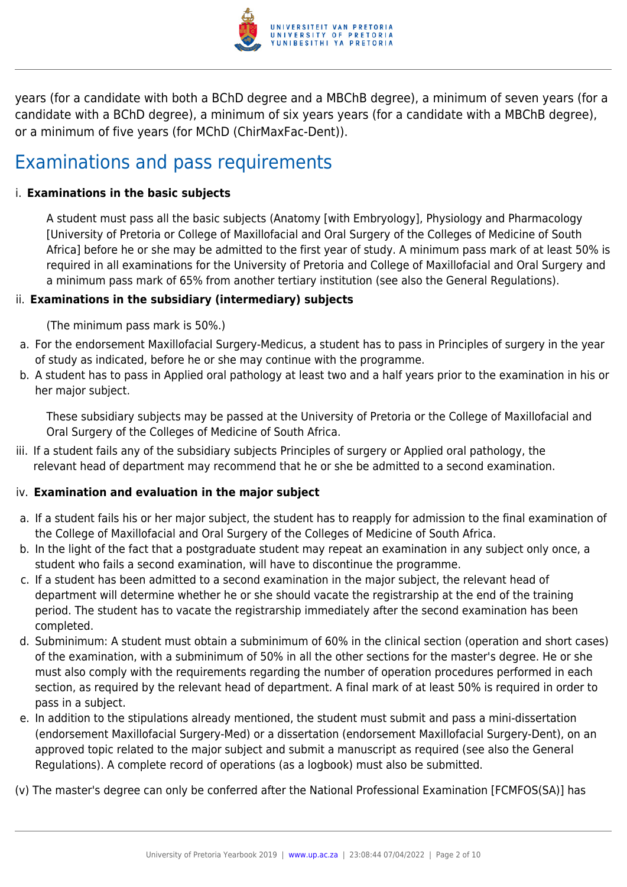

years (for a candidate with both a BChD degree and a MBChB degree), a minimum of seven years (for a candidate with a BChD degree), a minimum of six years years (for a candidate with a MBChB degree), or a minimum of five years (for MChD (ChirMaxFac-Dent)).

### Examinations and pass requirements

#### i. **Examinations in the basic subjects**

A student must pass all the basic subjects (Anatomy [with Embryology], Physiology and Pharmacology [University of Pretoria or College of Maxillofacial and Oral Surgery of the Colleges of Medicine of South Africa] before he or she may be admitted to the first year of study. A minimum pass mark of at least 50% is required in all examinations for the University of Pretoria and College of Maxillofacial and Oral Surgery and a minimum pass mark of 65% from another tertiary institution (see also the General Regulations).

#### ii. **Examinations in the subsidiary (intermediary) subjects**

(The minimum pass mark is 50%.)

- a. For the endorsement Maxillofacial Surgery-Medicus, a student has to pass in Principles of surgery in the year of study as indicated, before he or she may continue with the programme.
- b. A student has to pass in Applied oral pathology at least two and a half years prior to the examination in his or her major subject.

These subsidiary subjects may be passed at the University of Pretoria or the College of Maxillofacial and Oral Surgery of the Colleges of Medicine of South Africa.

iii. If a student fails any of the subsidiary subjects Principles of surgery or Applied oral pathology, the relevant head of department may recommend that he or she be admitted to a second examination.

#### iv. **Examination and evaluation in the major subject**

- a. If a student fails his or her major subject, the student has to reapply for admission to the final examination of the College of Maxillofacial and Oral Surgery of the Colleges of Medicine of South Africa.
- b. In the light of the fact that a postgraduate student may repeat an examination in any subject only once, a student who fails a second examination, will have to discontinue the programme.
- c. If a student has been admitted to a second examination in the major subject, the relevant head of department will determine whether he or she should vacate the registrarship at the end of the training period. The student has to vacate the registrarship immediately after the second examination has been completed.
- d. Subminimum: A student must obtain a subminimum of 60% in the clinical section (operation and short cases) of the examination, with a subminimum of 50% in all the other sections for the master's degree. He or she must also comply with the requirements regarding the number of operation procedures performed in each section, as required by the relevant head of department. A final mark of at least 50% is required in order to pass in a subject.
- e. In addition to the stipulations already mentioned, the student must submit and pass a mini-dissertation (endorsement Maxillofacial Surgery-Med) or a dissertation (endorsement Maxillofacial Surgery-Dent), on an approved topic related to the major subject and submit a manuscript as required (see also the General Regulations). A complete record of operations (as a logbook) must also be submitted.

(v) The master's degree can only be conferred after the National Professional Examination [FCMFOS(SA)] has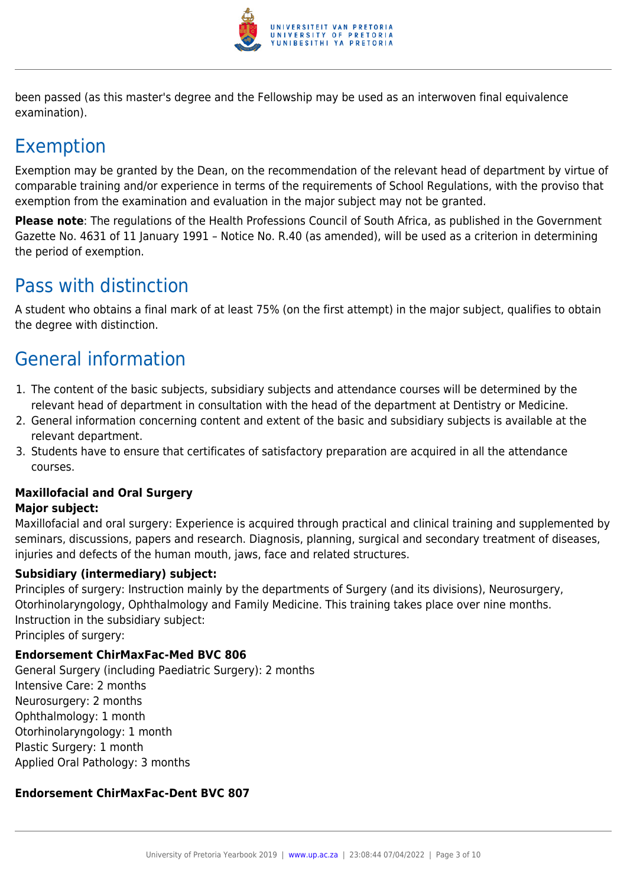

been passed (as this master's degree and the Fellowship may be used as an interwoven final equivalence examination).

### Exemption

Exemption may be granted by the Dean, on the recommendation of the relevant head of department by virtue of comparable training and/or experience in terms of the requirements of School Regulations, with the proviso that exemption from the examination and evaluation in the major subject may not be granted.

**Please note**: The regulations of the Health Professions Council of South Africa, as published in the Government Gazette No. 4631 of 11 January 1991 – Notice No. R.40 (as amended), will be used as a criterion in determining the period of exemption.

### Pass with distinction

A student who obtains a final mark of at least 75% (on the first attempt) in the major subject, qualifies to obtain the degree with distinction.

### General information

- 1. The content of the basic subjects, subsidiary subjects and attendance courses will be determined by the relevant head of department in consultation with the head of the department at Dentistry or Medicine.
- 2. General information concerning content and extent of the basic and subsidiary subjects is available at the relevant department.
- 3. Students have to ensure that certificates of satisfactory preparation are acquired in all the attendance courses.

### **Maxillofacial and Oral Surgery**

#### **Major subject:**

Maxillofacial and oral surgery: Experience is acquired through practical and clinical training and supplemented by seminars, discussions, papers and research. Diagnosis, planning, surgical and secondary treatment of diseases, injuries and defects of the human mouth, jaws, face and related structures.

#### **Subsidiary (intermediary) subject:**

Principles of surgery: Instruction mainly by the departments of Surgery (and its divisions), Neurosurgery, Otorhinolaryngology, Ophthalmology and Family Medicine. This training takes place over nine months. Instruction in the subsidiary subject:

Principles of surgery:

#### **Endorsement ChirMaxFac-Med BVC 806**

General Surgery (including Paediatric Surgery): 2 months Intensive Care: 2 months Neurosurgery: 2 months Ophthalmology: 1 month Otorhinolaryngology: 1 month Plastic Surgery: 1 month Applied Oral Pathology: 3 months

#### **Endorsement ChirMaxFac-Dent BVC 807**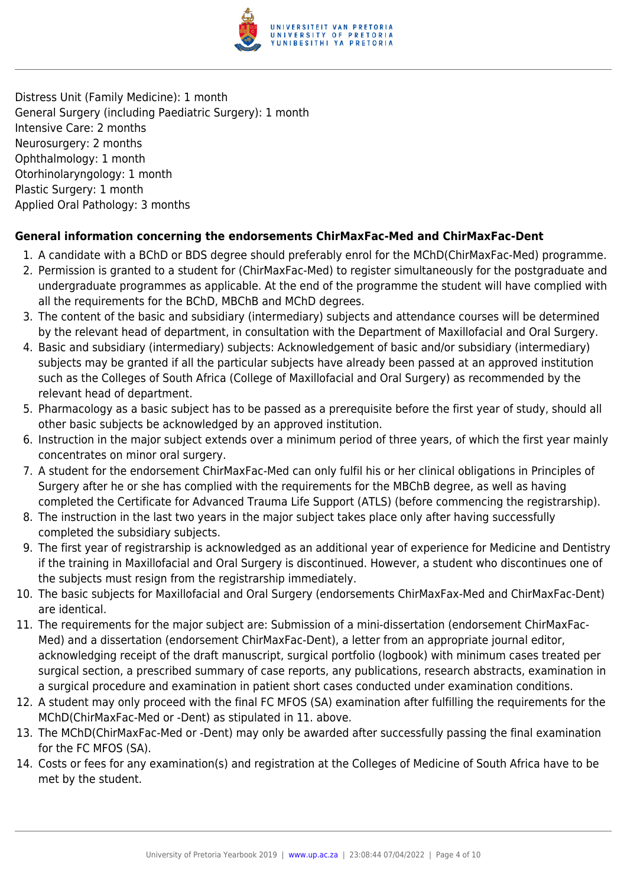

Distress Unit (Family Medicine): 1 month General Surgery (including Paediatric Surgery): 1 month Intensive Care: 2 months Neurosurgery: 2 months Ophthalmology: 1 month Otorhinolaryngology: 1 month Plastic Surgery: 1 month Applied Oral Pathology: 3 months

#### **General information concerning the endorsements ChirMaxFac-Med and ChirMaxFac-Dent**

- 1. A candidate with a BChD or BDS degree should preferably enrol for the MChD(ChirMaxFac-Med) programme.
- 2. Permission is granted to a student for (ChirMaxFac-Med) to register simultaneously for the postgraduate and undergraduate programmes as applicable. At the end of the programme the student will have complied with all the requirements for the BChD, MBChB and MChD degrees.
- 3. The content of the basic and subsidiary (intermediary) subjects and attendance courses will be determined by the relevant head of department, in consultation with the Department of Maxillofacial and Oral Surgery.
- 4. Basic and subsidiary (intermediary) subjects: Acknowledgement of basic and/or subsidiary (intermediary) subjects may be granted if all the particular subjects have already been passed at an approved institution such as the Colleges of South Africa (College of Maxillofacial and Oral Surgery) as recommended by the relevant head of department.
- 5. Pharmacology as a basic subject has to be passed as a prerequisite before the first year of study, should all other basic subjects be acknowledged by an approved institution.
- 6. Instruction in the major subject extends over a minimum period of three years, of which the first year mainly concentrates on minor oral surgery.
- 7. A student for the endorsement ChirMaxFac-Med can only fulfil his or her clinical obligations in Principles of Surgery after he or she has complied with the requirements for the MBChB degree, as well as having completed the Certificate for Advanced Trauma Life Support (ATLS) (before commencing the registrarship).
- 8. The instruction in the last two years in the major subject takes place only after having successfully completed the subsidiary subjects.
- 9. The first year of registrarship is acknowledged as an additional year of experience for Medicine and Dentistry if the training in Maxillofacial and Oral Surgery is discontinued. However, a student who discontinues one of the subjects must resign from the registrarship immediately.
- 10. The basic subjects for Maxillofacial and Oral Surgery (endorsements ChirMaxFax-Med and ChirMaxFac-Dent) are identical.
- 11. The requirements for the major subject are: Submission of a mini-dissertation (endorsement ChirMaxFac-Med) and a dissertation (endorsement ChirMaxFac-Dent), a letter from an appropriate journal editor, acknowledging receipt of the draft manuscript, surgical portfolio (logbook) with minimum cases treated per surgical section, a prescribed summary of case reports, any publications, research abstracts, examination in a surgical procedure and examination in patient short cases conducted under examination conditions.
- 12. A student may only proceed with the final FC MFOS (SA) examination after fulfilling the requirements for the MChD(ChirMaxFac-Med or -Dent) as stipulated in 11. above.
- 13. The MChD(ChirMaxFac-Med or -Dent) may only be awarded after successfully passing the final examination for the FC MFOS (SA).
- 14. Costs or fees for any examination(s) and registration at the Colleges of Medicine of South Africa have to be met by the student.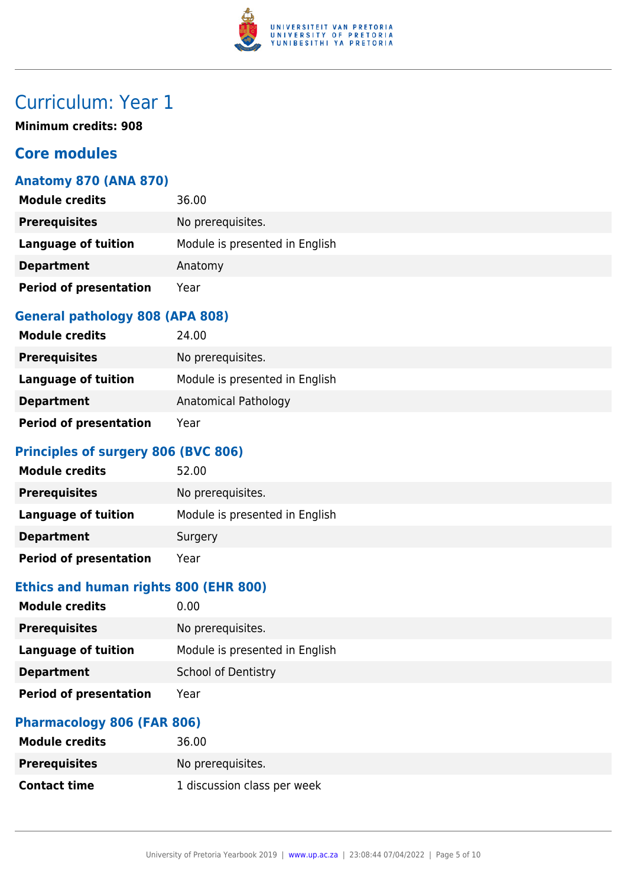

**Minimum credits: 908**

#### **Core modules**

#### **Anatomy 870 (ANA 870)**

| <b>Module credits</b>         | 36.00                          |
|-------------------------------|--------------------------------|
| <b>Prerequisites</b>          | No prerequisites.              |
| <b>Language of tuition</b>    | Module is presented in English |
| <b>Department</b>             | Anatomy                        |
| <b>Period of presentation</b> | Year                           |

#### **General pathology 808 (APA 808)**

| <b>Module credits</b>         | 24.00                          |
|-------------------------------|--------------------------------|
| <b>Prerequisites</b>          | No prerequisites.              |
| Language of tuition           | Module is presented in English |
| <b>Department</b>             | Anatomical Pathology           |
| <b>Period of presentation</b> | Year                           |

#### **Principles of surgery 806 (BVC 806)**

| <b>Module credits</b>         | 52.00                          |
|-------------------------------|--------------------------------|
| <b>Prerequisites</b>          | No prerequisites.              |
| Language of tuition           | Module is presented in English |
| <b>Department</b>             | Surgery                        |
| <b>Period of presentation</b> | Year                           |

#### **Ethics and human rights 800 (EHR 800)**

| <b>Module credits</b>         | 0.00                           |
|-------------------------------|--------------------------------|
| <b>Prerequisites</b>          | No prerequisites.              |
| <b>Language of tuition</b>    | Module is presented in English |
| <b>Department</b>             | <b>School of Dentistry</b>     |
| <b>Period of presentation</b> | Year                           |

#### **Pharmacology 806 (FAR 806)**

| <b>Module credits</b> | 36.00                       |
|-----------------------|-----------------------------|
| <b>Prerequisites</b>  | No prerequisites.           |
| <b>Contact time</b>   | 1 discussion class per week |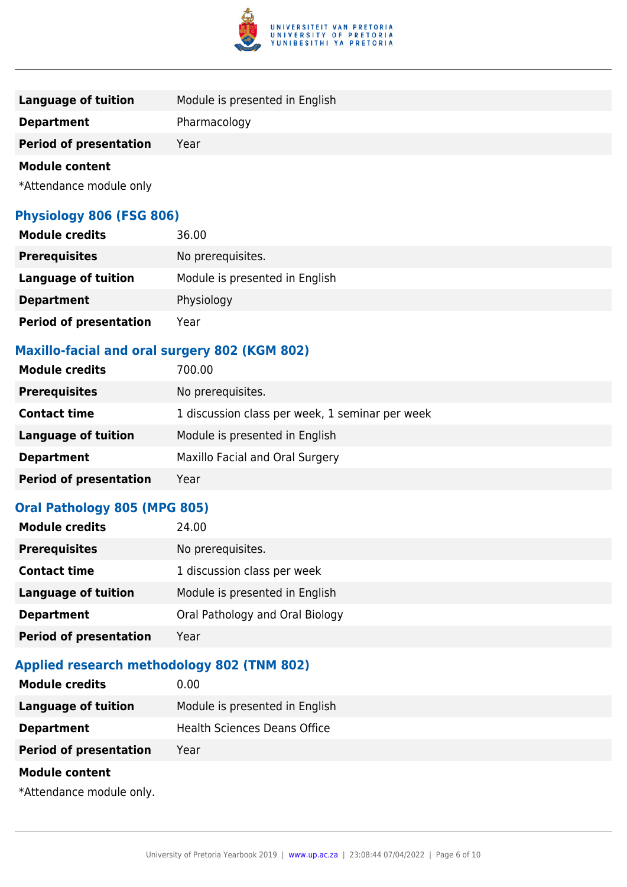

| Language of tuition           | Module is presented in English |  |
|-------------------------------|--------------------------------|--|
| <b>Department</b>             | Pharmacology                   |  |
| <b>Period of presentation</b> | Year                           |  |
| <b>Module content</b>         |                                |  |

\*Attendance module only

#### **Physiology 806 (FSG 806)**

| <b>Module credits</b>         | 36.00                          |
|-------------------------------|--------------------------------|
| <b>Prerequisites</b>          | No prerequisites.              |
| <b>Language of tuition</b>    | Module is presented in English |
| <b>Department</b>             | Physiology                     |
| <b>Period of presentation</b> | Year                           |

#### **Maxillo-facial and oral surgery 802 (KGM 802)**

| <b>Module credits</b>         | 700.00                                          |
|-------------------------------|-------------------------------------------------|
| <b>Prerequisites</b>          | No prerequisites.                               |
| <b>Contact time</b>           | 1 discussion class per week, 1 seminar per week |
| <b>Language of tuition</b>    | Module is presented in English                  |
| <b>Department</b>             | Maxillo Facial and Oral Surgery                 |
| <b>Period of presentation</b> | Year                                            |
|                               |                                                 |

#### **Oral Pathology 805 (MPG 805)**

| <b>Module credits</b>         | 24.00                           |
|-------------------------------|---------------------------------|
| <b>Prerequisites</b>          | No prerequisites.               |
| <b>Contact time</b>           | 1 discussion class per week     |
| <b>Language of tuition</b>    | Module is presented in English  |
| <b>Department</b>             | Oral Pathology and Oral Biology |
| <b>Period of presentation</b> | Year                            |

#### **Applied research methodology 802 (TNM 802)**

| <b>Module credits</b>         | 0.00                                |
|-------------------------------|-------------------------------------|
| <b>Language of tuition</b>    | Module is presented in English      |
| <b>Department</b>             | <b>Health Sciences Deans Office</b> |
| <b>Period of presentation</b> | Year                                |
| <b>Module content</b>         |                                     |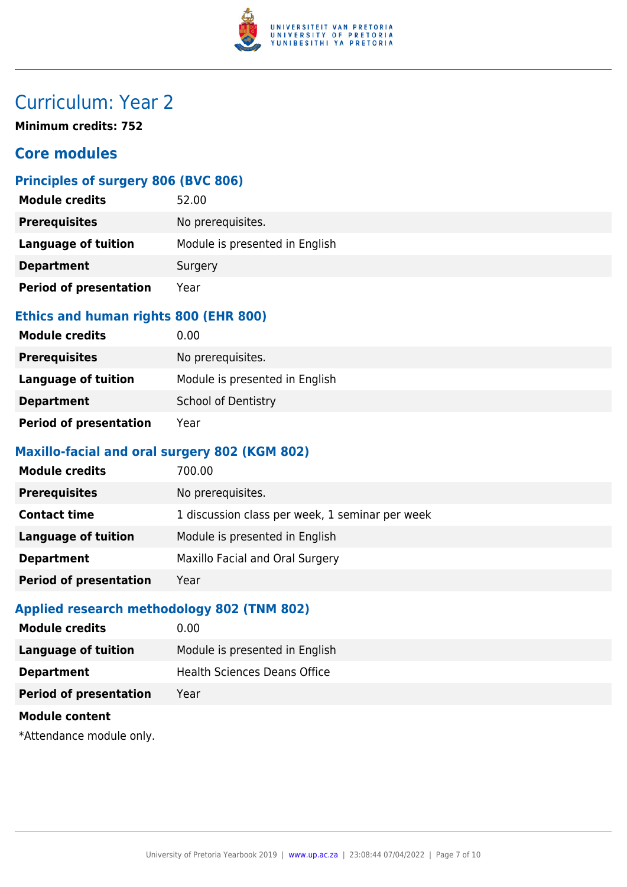

**Minimum credits: 752**

#### **Core modules**

#### **Principles of surgery 806 (BVC 806)**

| <b>Module credits</b>         | 52.00                          |
|-------------------------------|--------------------------------|
| <b>Prerequisites</b>          | No prerequisites.              |
| Language of tuition           | Module is presented in English |
| <b>Department</b>             | Surgery                        |
| <b>Period of presentation</b> | Year                           |

#### **Ethics and human rights 800 (EHR 800)**

| <b>Module credits</b>         | 0.00                           |
|-------------------------------|--------------------------------|
| <b>Prerequisites</b>          | No prerequisites.              |
| Language of tuition           | Module is presented in English |
| <b>Department</b>             | <b>School of Dentistry</b>     |
| <b>Period of presentation</b> | Year                           |

#### **Maxillo-facial and oral surgery 802 (KGM 802)**

| <b>Module credits</b>         | 700.00                                          |
|-------------------------------|-------------------------------------------------|
| <b>Prerequisites</b>          | No prerequisites.                               |
| <b>Contact time</b>           | 1 discussion class per week, 1 seminar per week |
| Language of tuition           | Module is presented in English                  |
| <b>Department</b>             | Maxillo Facial and Oral Surgery                 |
| <b>Period of presentation</b> | Year                                            |

#### **Applied research methodology 802 (TNM 802)**

| <b>Module credits</b>         | 0.00                                |
|-------------------------------|-------------------------------------|
| Language of tuition           | Module is presented in English      |
| <b>Department</b>             | <b>Health Sciences Deans Office</b> |
| <b>Period of presentation</b> | Year                                |
| <b>Module content</b>         |                                     |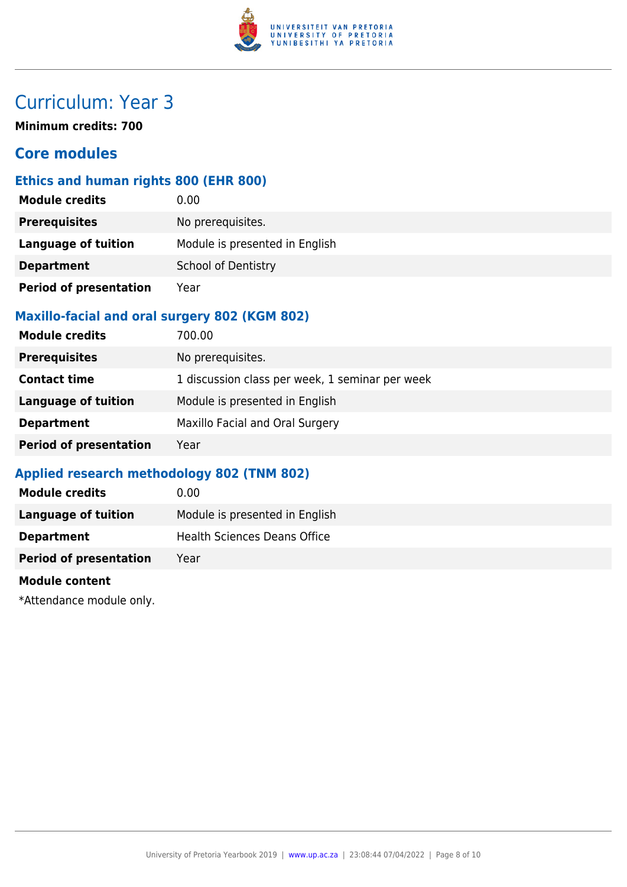

**Minimum credits: 700**

#### **Core modules**

#### **Ethics and human rights 800 (EHR 800)**

| <b>Module credits</b>         | 0.00                           |
|-------------------------------|--------------------------------|
| <b>Prerequisites</b>          | No prerequisites.              |
| <b>Language of tuition</b>    | Module is presented in English |
| <b>Department</b>             | <b>School of Dentistry</b>     |
| <b>Period of presentation</b> | Year                           |

#### **Maxillo-facial and oral surgery 802 (KGM 802)**

| <b>Module credits</b>         | 700.00                                          |
|-------------------------------|-------------------------------------------------|
| <b>Prerequisites</b>          | No prerequisites.                               |
| <b>Contact time</b>           | 1 discussion class per week, 1 seminar per week |
| <b>Language of tuition</b>    | Module is presented in English                  |
| <b>Department</b>             | Maxillo Facial and Oral Surgery                 |
| <b>Period of presentation</b> | Year                                            |

#### **Applied research methodology 802 (TNM 802)**

| <b>Module credits</b>         | 0.00                           |
|-------------------------------|--------------------------------|
| Language of tuition           | Module is presented in English |
| <b>Department</b>             | Health Sciences Deans Office   |
| <b>Period of presentation</b> | Year                           |
|                               |                                |

#### **Module content**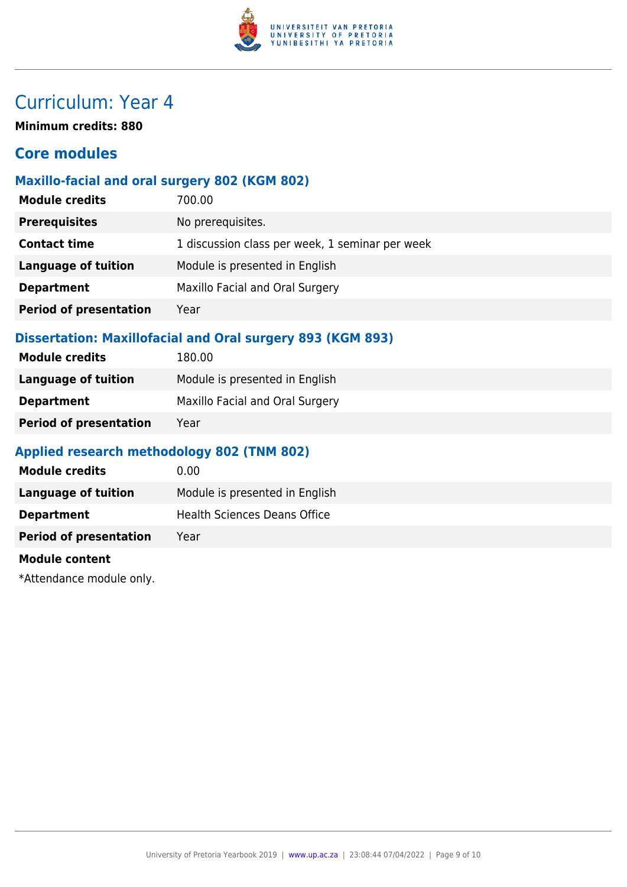

**Minimum credits: 880**

#### **Core modules**

#### **Maxillo-facial and oral surgery 802 (KGM 802)**

| <b>Module credits</b>         | 700.00                                          |
|-------------------------------|-------------------------------------------------|
| <b>Prerequisites</b>          | No prerequisites.                               |
| <b>Contact time</b>           | 1 discussion class per week, 1 seminar per week |
| <b>Language of tuition</b>    | Module is presented in English                  |
| <b>Department</b>             | Maxillo Facial and Oral Surgery                 |
| <b>Period of presentation</b> | Year                                            |
|                               |                                                 |

#### **Dissertation: Maxillofacial and Oral surgery 893 (KGM 893)**

| <b>Module credits</b>         | 180.00                          |
|-------------------------------|---------------------------------|
| Language of tuition           | Module is presented in English  |
| <b>Department</b>             | Maxillo Facial and Oral Surgery |
| <b>Period of presentation</b> | Year                            |

#### **Applied research methodology 802 (TNM 802)**

| <b>Module credits</b>         | 0.00                                |
|-------------------------------|-------------------------------------|
| Language of tuition           | Module is presented in English      |
| <b>Department</b>             | <b>Health Sciences Deans Office</b> |
| <b>Period of presentation</b> | Year                                |

#### **Module content**